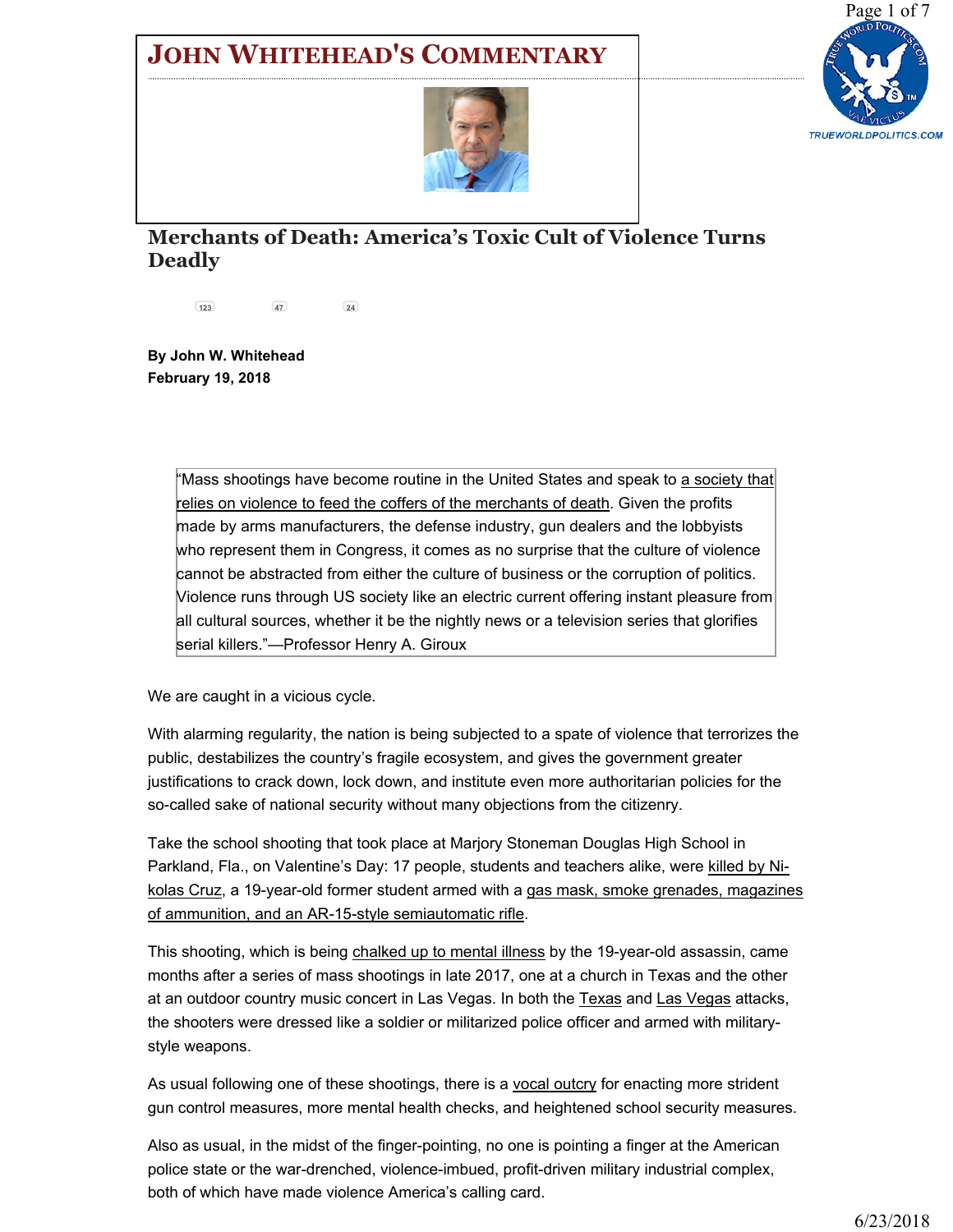## JOHN WHITEHEAD'S C[OMMENTARY](https://www.rutherford.org/publications_resources/john_whiteheads_commentary/merchants_of_death_americas_toxic_cult_of_violence_turns_deadly)





## Merchants of Death: America's Toxic Cult of Violence Turns Deadly

123 47 24

By John W. Whitehead February 19, 2018

> "Mass shootings have become routine in the United States and speak to <u>a society that</u> relies on violence to feed the coffers of the merchants of death. Given the profits made by arms manufacturers, the defense industry, gun dealers and the lobbyists who represent them in Congress, it comes as no surprise that the culture of violence cannot be abstracted from either the culture of business or the corruption of politics. Violence runs through US society like an electric current offering instant pleasure from all cultural sources, whether it be the nightly news or a television series that glorifies serial killers."—Professor Henry A. Giroux

We are caught in a vicious cycle.

With alarming regularity, the nation is being subjected to a spate of violence that terrorizes the public, destabilizes the country's fragile ecosystem, and gives the government greater justifications to crack down, lock down, and institute even more authoritarian policies for the so-called sake of national security without many objections from the citizenry.

Take the school shooting that took place at Marjory Stoneman Douglas High School in Parkland, Fla., on Valentine's Day: 17 people, students and teachers alike, were killed by Nikolas Cruz, a 19-year-old former student armed with a gas mask, smoke grenades, magazines of ammunition, and an AR-15-style semiautomatic rifle.

This shooting, which is being chalked up to mental illness by the 19-year-old assassin, came months after a series of mass shootings in late 2017, one at a church in Texas and the other at an outdoor country music concert in Las Vegas. In both the Texas and Las Vegas attacks, the shooters were dressed like a soldier or militarized police officer and armed with militarystyle weapons.

As usual following one of these shootings, there is a vocal outcry for enacting more strident gun control measures, more mental health checks, and heightened school security measures.

Also as usual, in the midst of the finger-pointing, no one is pointing a finger at the American police state or the war-drenched, violence-imbued, profit-driven military industrial complex, both of which have made violence America's calling card.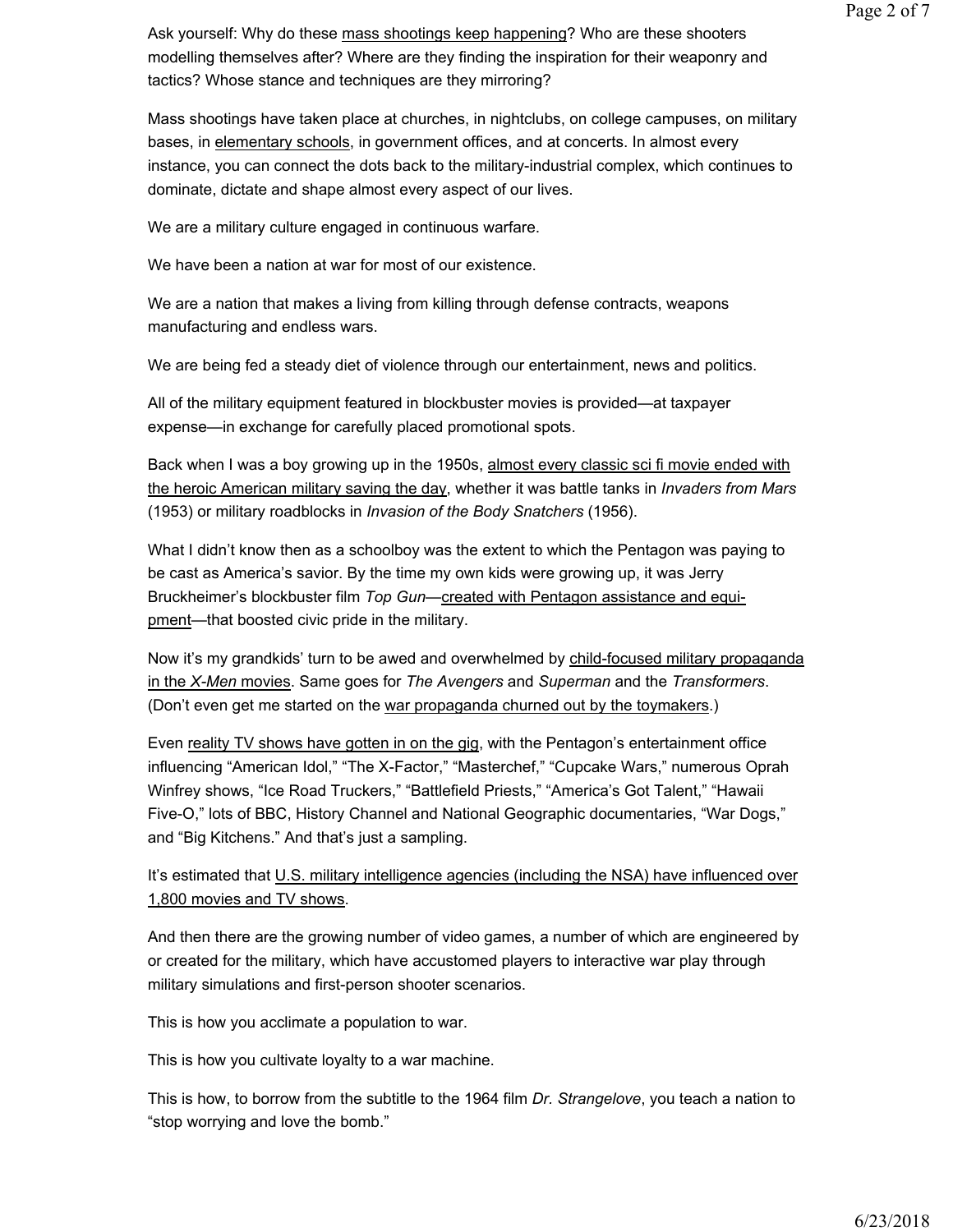Ask yourself: Why do these mass shootings keep happening? Who are these shooters modelling themselves after? Where are they finding the inspiration for their weaponry and tactics? Whose stance and techniques are they mirroring?

Mass shootings have taken place at churches, in nightclubs, on college campuses, on military bases, in elementary schools, in government offices, and at concerts. In almost every instance, you can connect the dots back to the military-industrial complex, which continues to dominate, dictate and shape almost every aspect of our lives.

We are a military culture engaged in continuous warfare.

We have been a nation at war for most of our existence.

We are a nation that makes a living from killing through defense contracts, weapons manufacturing and endless wars.

We are being fed a steady diet of violence through our entertainment, news and politics.

All of the military equipment featured in blockbuster movies is provided—at taxpayer expense—in exchange for carefully placed promotional spots.

Back when I was a boy growing up in the 1950s, almost every classic sci fi movie ended with the heroic American military saving the day, whether it was battle tanks in *Invaders from Mars* (1953) or military roadblocks in Invasion of the Body Snatchers (1956).

What I didn't know then as a schoolboy was the extent to which the Pentagon was paying to be cast as America's savior. By the time my own kids were growing up, it was Jerry Bruckheimer's blockbuster film Top Gun-created with Pentagon assistance and equipment—that boosted civic pride in the military.

Now it's my grandkids' turn to be awed and overwhelmed by child-focused military propaganda in the X-Men movies. Same goes for The Avengers and Superman and the Transformers. (Don't even get me started on the war propaganda churned out by the toymakers.)

Even reality TV shows have gotten in on the gig, with the Pentagon's entertainment office influencing "American Idol," "The X-Factor," "Masterchef," "Cupcake Wars," numerous Oprah Winfrey shows, "Ice Road Truckers," "Battlefield Priests," "America's Got Talent," "Hawaii Five-O," lots of BBC, History Channel and National Geographic documentaries, "War Dogs," and "Big Kitchens." And that's just a sampling.

It's estimated that U.S. military intelligence agencies (including the NSA) have influenced over 1,800 movies and TV shows.

And then there are the growing number of video games, a number of which are engineered by or created for the military, which have accustomed players to interactive war play through military simulations and first-person shooter scenarios.

This is how you acclimate a population to war.

This is how you cultivate loyalty to a war machine.

This is how, to borrow from the subtitle to the 1964 film Dr. Strangelove, you teach a nation to "stop worrying and love the bomb."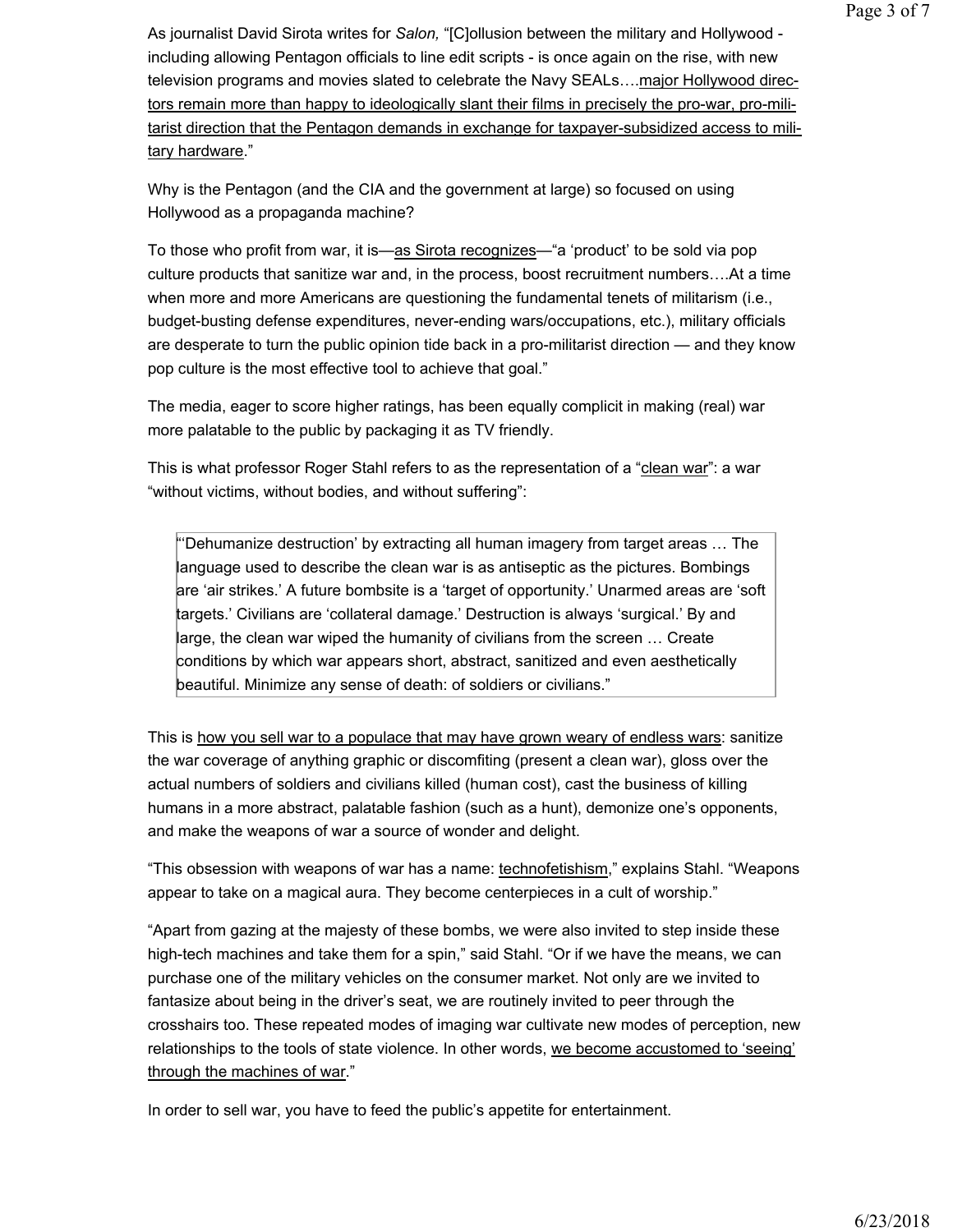As journalist David Sirota writes for Salon, "[C]ollusion between the military and Hollywood including allowing Pentagon officials to line edit scripts - is once again on the rise, with new television programs and movies slated to celebrate the Navy SEALs….major Hollywood directors remain more than happy to ideologically slant their films in precisely the pro-war, pro-militarist direction that the Pentagon demands in exchange for taxpayer-subsidized access to military hardware."

Why is the Pentagon (and the CIA and the government at large) so focused on using Hollywood as a propaganda machine?

To those who profit from war, it is—as Sirota recognizes—"a 'product' to be sold via pop culture products that sanitize war and, in the process, boost recruitment numbers….At a time when more and more Americans are questioning the fundamental tenets of militarism (i.e., budget-busting defense expenditures, never-ending wars/occupations, etc.), military officials are desperate to turn the public opinion tide back in a pro-militarist direction — and they know pop culture is the most effective tool to achieve that goal."

The media, eager to score higher ratings, has been equally complicit in making (real) war more palatable to the public by packaging it as TV friendly.

This is what professor Roger Stahl refers to as the representation of a "clean war": a war "without victims, without bodies, and without suffering":

"'Dehumanize destruction' by extracting all human imagery from target areas … The language used to describe the clean war is as antiseptic as the pictures. Bombings are 'air strikes.' A future bombsite is a 'target of opportunity.' Unarmed areas are 'soft targets.' Civilians are 'collateral damage.' Destruction is always 'surgical.' By and large, the clean war wiped the humanity of civilians from the screen … Create conditions by which war appears short, abstract, sanitized and even aesthetically beautiful. Minimize any sense of death: of soldiers or civilians."

This is how you sell war to a populace that may have grown weary of endless wars: sanitize the war coverage of anything graphic or discomfiting (present a clean war), gloss over the actual numbers of soldiers and civilians killed (human cost), cast the business of killing humans in a more abstract, palatable fashion (such as a hunt), demonize one's opponents, and make the weapons of war a source of wonder and delight.

"This obsession with weapons of war has a name: technofetishism," explains Stahl. "Weapons appear to take on a magical aura. They become centerpieces in a cult of worship."

"Apart from gazing at the majesty of these bombs, we were also invited to step inside these high-tech machines and take them for a spin," said Stahl. "Or if we have the means, we can purchase one of the military vehicles on the consumer market. Not only are we invited to fantasize about being in the driver's seat, we are routinely invited to peer through the crosshairs too. These repeated modes of imaging war cultivate new modes of perception, new relationships to the tools of state violence. In other words, we become accustomed to 'seeing' through the machines of war."

In order to sell war, you have to feed the public's appetite for entertainment.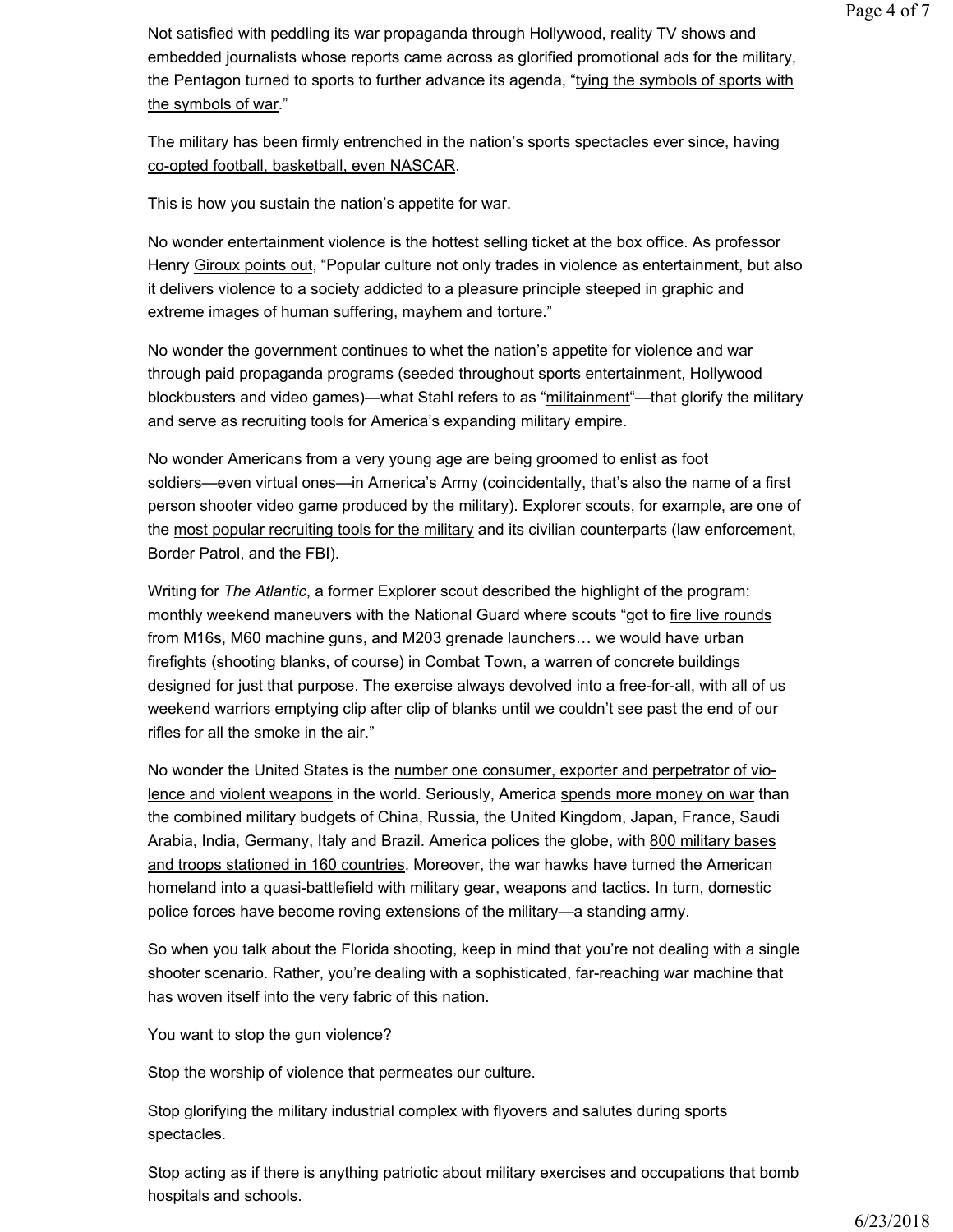Not satisfied with peddling its war propaganda through Hollywood, reality TV shows and embedded journalists whose reports came across as glorified promotional ads for the military, the Pentagon turned to sports to further advance its agenda, "tying the symbols of sports with the symbols of war."

The military has been firmly entrenched in the nation's sports spectacles ever since, having co-opted football, basketball, even NASCAR.

This is how you sustain the nation's appetite for war.

No wonder entertainment violence is the hottest selling ticket at the box office. As professor Henry Giroux points out, "Popular culture not only trades in violence as entertainment, but also it delivers violence to a society addicted to a pleasure principle steeped in graphic and extreme images of human suffering, mayhem and torture."

No wonder the government continues to whet the nation's appetite for violence and war through paid propaganda programs (seeded throughout sports entertainment, Hollywood blockbusters and video games)—what Stahl refers to as "militainment"—that glorify the military and serve as recruiting tools for America's expanding military empire.

No wonder Americans from a very young age are being groomed to enlist as foot soldiers—even virtual ones—in America's Army (coincidentally, that's also the name of a first person shooter video game produced by the military). Explorer scouts, for example, are one of the most popular recruiting tools for the military and its civilian counterparts (law enforcement, Border Patrol, and the FBI).

Writing for The Atlantic, a former Explorer scout described the highlight of the program: monthly weekend maneuvers with the National Guard where scouts "got to fire live rounds from M16s, M60 machine guns, and M203 grenade launchers… we would have urban firefights (shooting blanks, of course) in Combat Town, a warren of concrete buildings designed for just that purpose. The exercise always devolved into a free-for-all, with all of us weekend warriors emptying clip after clip of blanks until we couldn't see past the end of our rifles for all the smoke in the air."

No wonder the United States is the number one consumer, exporter and perpetrator of violence and violent weapons in the world. Seriously, America spends more money on war than the combined military budgets of China, Russia, the United Kingdom, Japan, France, Saudi Arabia, India, Germany, Italy and Brazil. America polices the globe, with 800 military bases and troops stationed in 160 countries. Moreover, the war hawks have turned the American homeland into a quasi-battlefield with military gear, weapons and tactics. In turn, domestic police forces have become roving extensions of the military—a standing army.

So when you talk about the Florida shooting, keep in mind that you're not dealing with a single shooter scenario. Rather, you're dealing with a sophisticated, far-reaching war machine that has woven itself into the very fabric of this nation.

You want to stop the gun violence?

Stop the worship of violence that permeates our culture.

Stop glorifying the military industrial complex with flyovers and salutes during sports spectacles.

Stop acting as if there is anything patriotic about military exercises and occupations that bomb hospitals and schools.